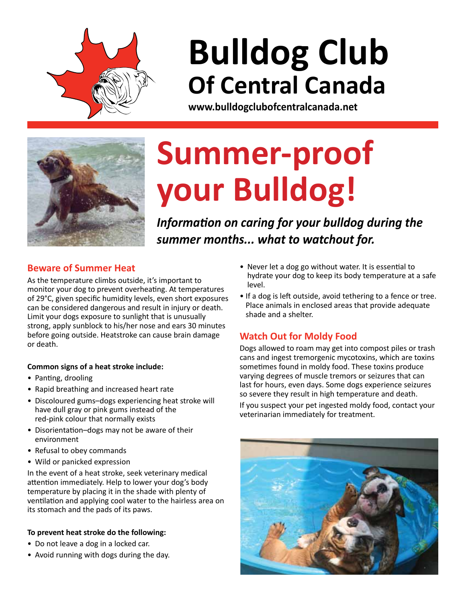

# **Bulldog Club Of Central Canada**

**www.bulldogclubofcentralcanada.net**



# **Summer-proof your Bulldog!**

*Information on caring for your bulldog during the summer months... what to watchout for.*

### **Beware of Summer Heat**

As the temperature climbs outside, it's important to monitor your dog to prevent overheating. At temperatures of 29°C, given specific humidity levels, even short exposures can be considered dangerous and result in injury or death. Limit your dogs exposure to sunlight that is unusually strong, apply sunblock to his/her nose and ears 30 minutes before going outside. Heatstroke can cause brain damage or death.

#### **Common signs of a heat stroke include:**

- Panting, drooling
- Rapid breathing and increased heart rate
- Discoloured gums–dogs experiencing heat stroke will have dull gray or pink gums instead of the red-pink colour that normally exists
- Disorientation–dogs may not be aware of their environment
- Refusal to obey commands
- Wild or panicked expression

In the event of a heat stroke, seek veterinary medical attention immediately. Help to lower your dog's body temperature by placing it in the shade with plenty of ventilation and applying cool water to the hairless area on its stomach and the pads of its paws.

#### **To prevent heat stroke do the following:**

- Do not leave a dog in a locked car.
- Avoid running with dogs during the day.
- Never let a dog go without water. It is essential to hydrate your dog to keep its body temperature at a safe level.
- If a dog is left outside, avoid tethering to a fence or tree. Place animals in enclosed areas that provide adequate shade and a shelter.

## **Watch Out for Moldy Food**

Dogs allowed to roam may get into compost piles or trash cans and ingest tremorgenic mycotoxins, which are toxins sometimes found in moldy food. These toxins produce varying degrees of muscle tremors or seizures that can last for hours, even days. Some dogs experience seizures so severe they result in high temperature and death.

If you suspect your pet ingested moldy food, contact your veterinarian immediately for treatment.